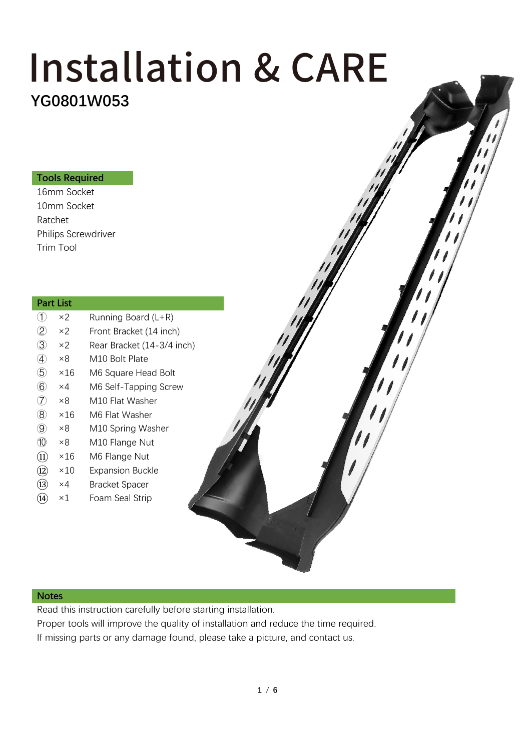## **YG0801W053** Installation & CARE

#### **Tools Required**

16mm Socket 10mm Socket Ratchet Philips Screwdriver Trim Tool

#### **Part List**

| Œ.                           | ×2          | Running Board (L+R)        |
|------------------------------|-------------|----------------------------|
| $^{\rm \odot}$               | $\times 2$  | Front Bracket (14 inch)    |
| 3                            | $\times 2$  | Rear Bracket (14-3/4 inch) |
| A)                           | ×8          | M10 Bolt Plate             |
| $\circledS$                  | ×16         | M6 Square Head Bolt        |
| $\circled6$                  | ×4          | M6 Self-Tapping Screw      |
| $\left( \overline{7}\right)$ | ×8          | M10 Flat Washer            |
| $\circledR$                  | ×16         | M6 Flat Washer             |
| $\circledS$                  | ×8          | M10 Spring Washer          |
| 10                           | ×8          | M10 Flange Nut             |
| (11)                         | ×16         | M6 Flange Nut              |
| (12)                         | $\times 10$ | <b>Expansion Buckle</b>    |
| (13                          | ×4          | <b>Bracket Spacer</b>      |
| 14                           | ×1          | Foam Seal Strip            |
|                              |             |                            |

#### **Notes**

Read this instruction carefully before starting installation.

Proper tools will improve the quality of installation and reduce the time required. If missing parts or any damage found, please take a picture, and contact us.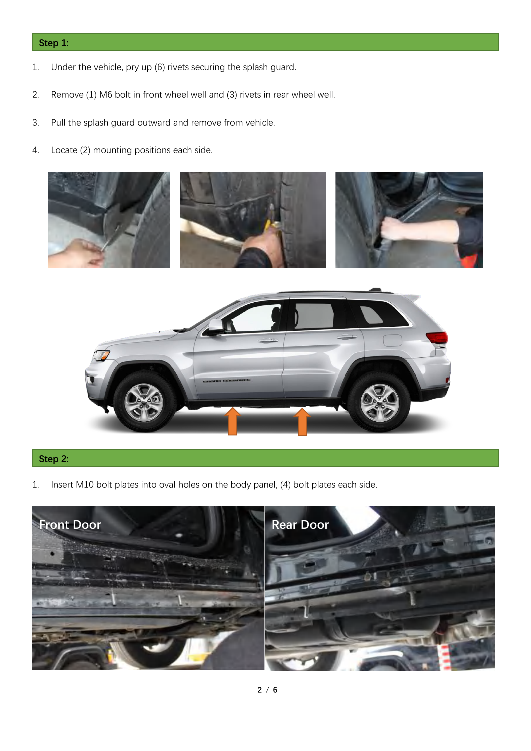#### **Step 1:**

- 1. Under the vehicle, pry up (6) rivets securing the splash guard.
- 2. Remove (1) M6 bolt in front wheel well and (3) rivets in rear wheel well.
- 3. Pull the splash guard outward and remove from vehicle.
- 4. Locate (2) mounting positions each side.





### **Step 2:**

1. Insert M10 bolt plates into oval holes on the body panel, (4) bolt plates each side.

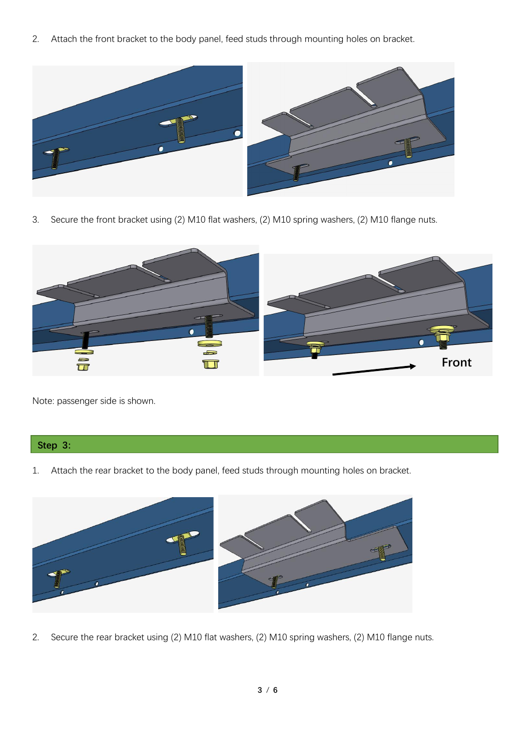2. Attach the front bracket to the body panel, feed studs through mounting holes on bracket.



3. Secure the front bracket using (2) M10 flat washers, (2) M10 spring washers, (2) M10 flange nuts.



Note: passenger side is shown.

#### **Step 3:**

1. Attach the rear bracket to the body panel, feed studs through mounting holes on bracket.



2. Secure the rear bracket using (2) M10 flat washers, (2) M10 spring washers, (2) M10 flange nuts.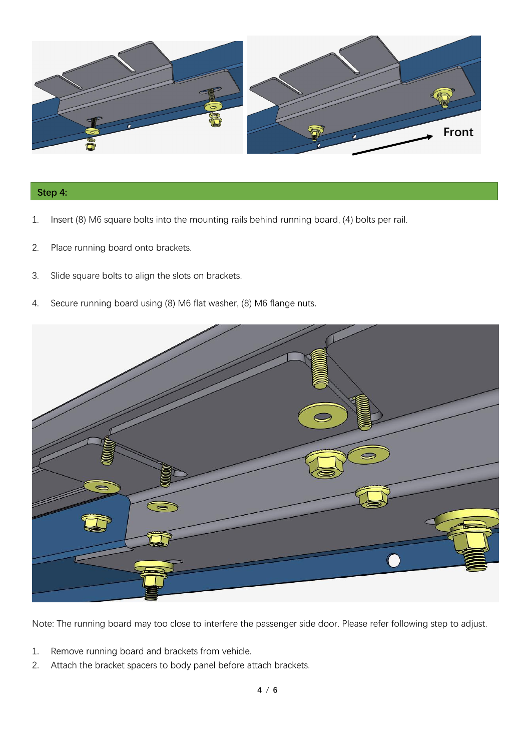

#### **Step 4:**

- 1. Insert (8) M6 square bolts into the mounting rails behind running board, (4) bolts per rail.
- 2. Place running board onto brackets.
- 3. Slide square bolts to align the slots on brackets.
- 4. Secure running board using (8) M6 flat washer, (8) M6 flange nuts.



Note: The running board may too close to interfere the passenger side door. Please refer following step to adjust.

- 1. Remove running board and brackets from vehicle.
- 2. Attach the bracket spacers to body panel before attach brackets.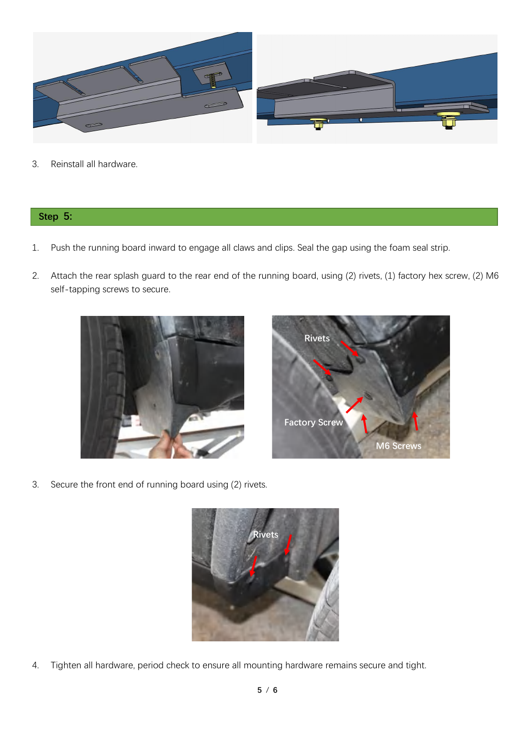

3. Reinstall all hardware.

#### **Step 5:**

- 1. Push the running board inward to engage all claws and clips. Seal the gap using the foam seal strip.
- 2. Attach the rear splash guard to the rear end of the running board, using (2) rivets, (1) factory hex screw, (2) M6 self-tapping screws to secure.





3. Secure the front end of running board using (2) rivets.



4. Tighten all hardware, period check to ensure all mounting hardware remains secure and tight.